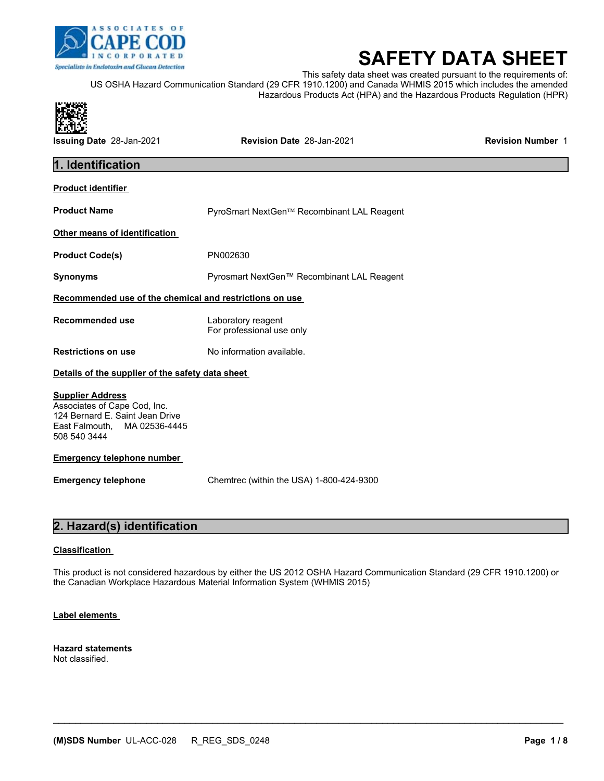

# **SAFETY DATA SHEET**

This safety data sheet was created pursuant to the requirements of: US OSHA Hazard Communication Standard (29 CFR 1910.1200) and Canada WHMIS 2015 which includes the amended Hazardous Products Act (HPA) and the Hazardous Products Regulation (HPR)



### **2. Hazard(s) identification**

### **Classification**

This product is not considered hazardous by either the US 2012 OSHA Hazard Communication Standard (29 CFR 1910.1200) or the Canadian Workplace Hazardous Material Information System (WHMIS 2015)

 $\mathcal{L}_\mathcal{L} = \mathcal{L}_\mathcal{L} = \mathcal{L}_\mathcal{L} = \mathcal{L}_\mathcal{L} = \mathcal{L}_\mathcal{L} = \mathcal{L}_\mathcal{L} = \mathcal{L}_\mathcal{L} = \mathcal{L}_\mathcal{L} = \mathcal{L}_\mathcal{L} = \mathcal{L}_\mathcal{L} = \mathcal{L}_\mathcal{L} = \mathcal{L}_\mathcal{L} = \mathcal{L}_\mathcal{L} = \mathcal{L}_\mathcal{L} = \mathcal{L}_\mathcal{L} = \mathcal{L}_\mathcal{L} = \mathcal{L}_\mathcal{L}$ 

### **Label elements**

**Hazard statements**  Not classified.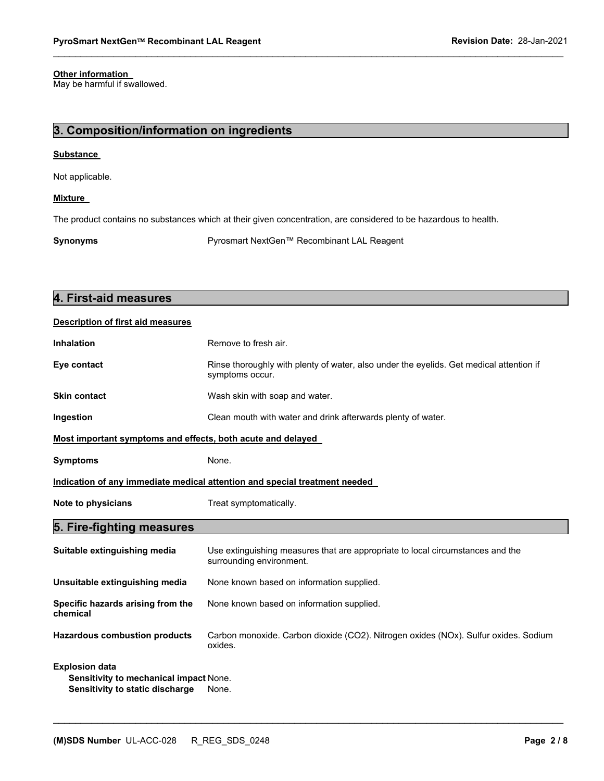### **Other information**

May be harmful if swallowed.

### **3. Composition/information on ingredients**

### **Substance**

Not applicable.

### **Mixture**

The product contains no substances which at their given concentration, are considered to be hazardous to health.

**Synonyms** Pyrosmart NextGen™ Recombinant LAL Reagent

 $\mathcal{L}_\mathcal{L} = \{ \mathcal{L}_\mathcal{L} = \{ \mathcal{L}_\mathcal{L} = \{ \mathcal{L}_\mathcal{L} = \{ \mathcal{L}_\mathcal{L} = \{ \mathcal{L}_\mathcal{L} = \{ \mathcal{L}_\mathcal{L} = \{ \mathcal{L}_\mathcal{L} = \{ \mathcal{L}_\mathcal{L} = \{ \mathcal{L}_\mathcal{L} = \{ \mathcal{L}_\mathcal{L} = \{ \mathcal{L}_\mathcal{L} = \{ \mathcal{L}_\mathcal{L} = \{ \mathcal{L}_\mathcal{L} = \{ \mathcal{L}_\mathcal{$ 

| 4. First-aid measures                                                                              |                                                                                                            |  |
|----------------------------------------------------------------------------------------------------|------------------------------------------------------------------------------------------------------------|--|
| <b>Description of first aid measures</b>                                                           |                                                                                                            |  |
| <b>Inhalation</b>                                                                                  | Remove to fresh air.                                                                                       |  |
| Eye contact                                                                                        | Rinse thoroughly with plenty of water, also under the eyelids. Get medical attention if<br>symptoms occur. |  |
| <b>Skin contact</b>                                                                                | Wash skin with soap and water.                                                                             |  |
| Ingestion                                                                                          | Clean mouth with water and drink afterwards plenty of water.                                               |  |
| Most important symptoms and effects, both acute and delayed                                        |                                                                                                            |  |
| <b>Symptoms</b>                                                                                    | None.                                                                                                      |  |
| Indication of any immediate medical attention and special treatment needed                         |                                                                                                            |  |
| Note to physicians                                                                                 | Treat symptomatically.                                                                                     |  |
| 5. Fire-fighting measures                                                                          |                                                                                                            |  |
| Suitable extinguishing media                                                                       | Use extinguishing measures that are appropriate to local circumstances and the<br>surrounding environment. |  |
| Unsuitable extinguishing media                                                                     | None known based on information supplied.                                                                  |  |
| Specific hazards arising from the<br>chemical                                                      | None known based on information supplied.                                                                  |  |
| <b>Hazardous combustion products</b>                                                               | Carbon monoxide. Carbon dioxide (CO2). Nitrogen oxides (NOx). Sulfur oxides. Sodium<br>oxides.             |  |
| <b>Explosion data</b><br>Sensitivity to mechanical impact None.<br>Sensitivity to static discharge | None.                                                                                                      |  |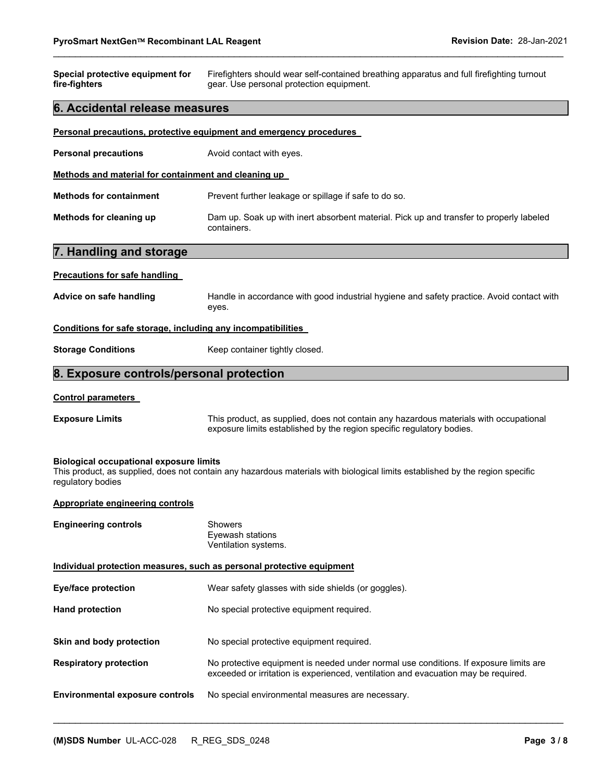| Special protective equipment for<br>fire-fighters                                                                                                                                                    | Firefighters should wear self-contained breathing apparatus and full firefighting turnout<br>gear. Use personal protection equipment.                                       |  |  |
|------------------------------------------------------------------------------------------------------------------------------------------------------------------------------------------------------|-----------------------------------------------------------------------------------------------------------------------------------------------------------------------------|--|--|
| 6. Accidental release measures                                                                                                                                                                       |                                                                                                                                                                             |  |  |
|                                                                                                                                                                                                      | Personal precautions, protective equipment and emergency procedures                                                                                                         |  |  |
| <b>Personal precautions</b>                                                                                                                                                                          | Avoid contact with eyes.                                                                                                                                                    |  |  |
| Methods and material for containment and cleaning up                                                                                                                                                 |                                                                                                                                                                             |  |  |
| <b>Methods for containment</b>                                                                                                                                                                       | Prevent further leakage or spillage if safe to do so.                                                                                                                       |  |  |
| Methods for cleaning up                                                                                                                                                                              | Dam up. Soak up with inert absorbent material. Pick up and transfer to properly labeled<br>containers.                                                                      |  |  |
| 7. Handling and storage                                                                                                                                                                              |                                                                                                                                                                             |  |  |
| <b>Precautions for safe handling</b>                                                                                                                                                                 |                                                                                                                                                                             |  |  |
| Advice on safe handling                                                                                                                                                                              | Handle in accordance with good industrial hygiene and safety practice. Avoid contact with<br>eyes.                                                                          |  |  |
| Conditions for safe storage, including any incompatibilities                                                                                                                                         |                                                                                                                                                                             |  |  |
| <b>Storage Conditions</b>                                                                                                                                                                            | Keep container tightly closed.                                                                                                                                              |  |  |
| 8. Exposure controls/personal protection                                                                                                                                                             |                                                                                                                                                                             |  |  |
| <b>Control parameters</b>                                                                                                                                                                            |                                                                                                                                                                             |  |  |
| <b>Exposure Limits</b>                                                                                                                                                                               | This product, as supplied, does not contain any hazardous materials with occupational<br>exposure limits established by the region specific regulatory bodies.              |  |  |
| <b>Biological occupational exposure limits</b><br>This product, as supplied, does not contain any hazardous materials with biological limits established by the region specific<br>regulatory bodies |                                                                                                                                                                             |  |  |
| Appropriate engineering controls                                                                                                                                                                     |                                                                                                                                                                             |  |  |
| <b>Engineering controls</b>                                                                                                                                                                          | Showers<br>Eyewash stations<br>Ventilation systems.                                                                                                                         |  |  |
| Individual protection measures, such as personal protective equipment                                                                                                                                |                                                                                                                                                                             |  |  |
| <b>Eye/face protection</b>                                                                                                                                                                           | Wear safety glasses with side shields (or goggles).                                                                                                                         |  |  |
| <b>Hand protection</b>                                                                                                                                                                               | No special protective equipment required.                                                                                                                                   |  |  |
| Skin and body protection                                                                                                                                                                             | No special protective equipment required.                                                                                                                                   |  |  |
| <b>Respiratory protection</b>                                                                                                                                                                        | No protective equipment is needed under normal use conditions. If exposure limits are<br>exceeded or irritation is experienced, ventilation and evacuation may be required. |  |  |
| <b>Environmental exposure controls</b>                                                                                                                                                               | No special environmental measures are necessary.                                                                                                                            |  |  |

 $\mathcal{L}_\mathcal{L} = \mathcal{L}_\mathcal{L} = \mathcal{L}_\mathcal{L} = \mathcal{L}_\mathcal{L} = \mathcal{L}_\mathcal{L} = \mathcal{L}_\mathcal{L} = \mathcal{L}_\mathcal{L} = \mathcal{L}_\mathcal{L} = \mathcal{L}_\mathcal{L} = \mathcal{L}_\mathcal{L} = \mathcal{L}_\mathcal{L} = \mathcal{L}_\mathcal{L} = \mathcal{L}_\mathcal{L} = \mathcal{L}_\mathcal{L} = \mathcal{L}_\mathcal{L} = \mathcal{L}_\mathcal{L} = \mathcal{L}_\mathcal{L}$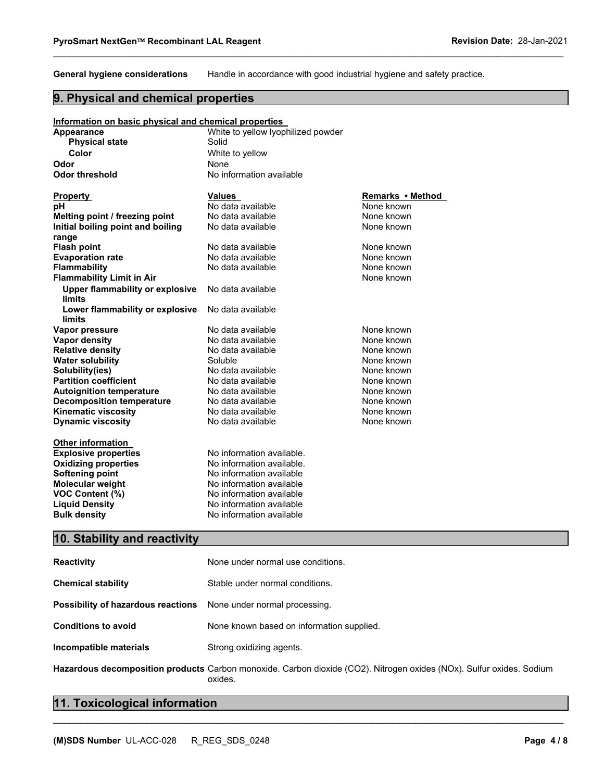**General hygiene considerations** Handle in accordance with good industrial hygiene and safety practice.

 $\mathcal{L}_\mathcal{L} = \{ \mathcal{L}_\mathcal{L} = \{ \mathcal{L}_\mathcal{L} = \{ \mathcal{L}_\mathcal{L} = \{ \mathcal{L}_\mathcal{L} = \{ \mathcal{L}_\mathcal{L} = \{ \mathcal{L}_\mathcal{L} = \{ \mathcal{L}_\mathcal{L} = \{ \mathcal{L}_\mathcal{L} = \{ \mathcal{L}_\mathcal{L} = \{ \mathcal{L}_\mathcal{L} = \{ \mathcal{L}_\mathcal{L} = \{ \mathcal{L}_\mathcal{L} = \{ \mathcal{L}_\mathcal{L} = \{ \mathcal{L}_\mathcal{$ 

### **9. Physical and chemical properties**

#### **Information on basic physical and chemical properties Appearance** White to yellow lyophilized powder **Physical state Solid Color Color Color White to yellow Odor** None **Odor threshold** No information available **Property Constructed Values Values Remarks • Method <b>Property Remarks • Method** <br> **PROPERTY REMARKS Remarks** • Motor **Remarks** • Mone known **pH** No data available None known **Melting point / freezing point N**o data available None known<br> **Initial boiling point and boiling** No data available None known **Initial boiling point and boiling range**  No data available **Flash point 1992 CONE Also Example 20 None 20 None known None known Evaporation rate No data available and the None known**<br> **Elammability No data available None known Figure 1** None known **Flammability Limit in Air** None known **None known Upper flammability or explosive limits**  No data available **Lower flammability or explosive limits**  No data available **Vapor pressure No data available None known Vapor density** No data available None known **Relative density 1988 CONE Are available None known Relative density** None known **Water solubility Water solubility** Soluble **None known Solubility(ies)**<br> **Partition coefficient** No data available None known **Partition coefficient No data available and the September 10 million** and the None known<br> **Autoignition temperature No data available None known Autoignition temperature 1988** No data available 1988 None known<br> **Decomposition temperature** 1988 No data available 1988 None known **Decomposition temperature** No data available None known<br> **Kinematic viscosity** No data available None known **Kinematic viscosity No data available None known Dynamic viscosity No data available None known** None known **Other information Explosive properties** No information available. **Oxidizing properties** No information available. **Softening point No information available Molecular weight**  No information available **VOC Content (%)** No information available

### **10. Stability and reactivity**

**Liquid Density No information available Bulk density No information available** 

| <b>Reactivity</b>                                                       | None under normal use conditions.                                                                                           |
|-------------------------------------------------------------------------|-----------------------------------------------------------------------------------------------------------------------------|
| <b>Chemical stability</b>                                               | Stable under normal conditions.                                                                                             |
| <b>Possibility of hazardous reactions</b> None under normal processing. |                                                                                                                             |
| <b>Conditions to avoid</b>                                              | None known based on information supplied.                                                                                   |
| Incompatible materials                                                  | Strong oxidizing agents.                                                                                                    |
|                                                                         | <b>Hazardous decomposition products</b> Carbon monoxide, Carbon dioxide (CO2). Nitrogen oxides (NOx), Sulfur oxides, Sodium |

### **Hazardous decomposition products** Carbon monoxide. Carbon dioxide (CO2). Nitrogen oxides (NOx). Sulfur oxides. Sodium oxides.

 $\mathcal{L}_\mathcal{L} = \mathcal{L}_\mathcal{L} = \mathcal{L}_\mathcal{L} = \mathcal{L}_\mathcal{L} = \mathcal{L}_\mathcal{L} = \mathcal{L}_\mathcal{L} = \mathcal{L}_\mathcal{L} = \mathcal{L}_\mathcal{L} = \mathcal{L}_\mathcal{L} = \mathcal{L}_\mathcal{L} = \mathcal{L}_\mathcal{L} = \mathcal{L}_\mathcal{L} = \mathcal{L}_\mathcal{L} = \mathcal{L}_\mathcal{L} = \mathcal{L}_\mathcal{L} = \mathcal{L}_\mathcal{L} = \mathcal{L}_\mathcal{L}$ 

### **11. Toxicological information**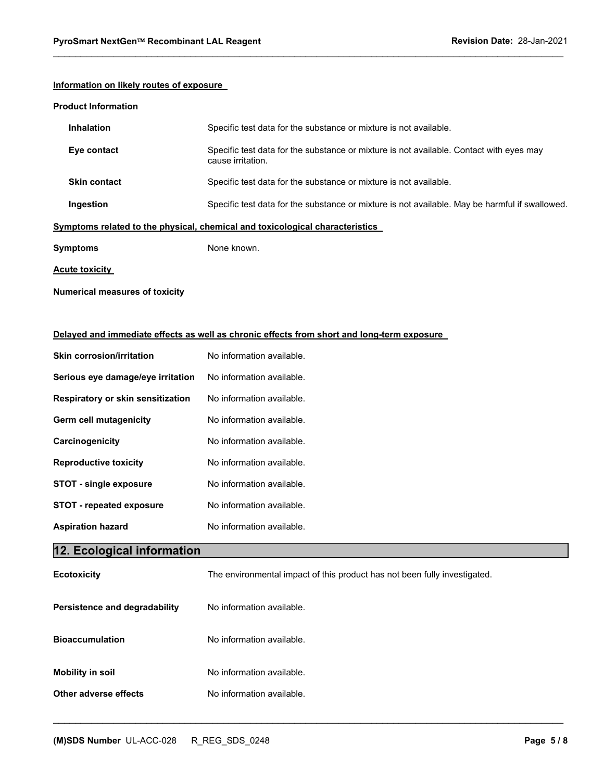### **Information on likely routes of exposure**

### **Product Information**

| Inhalation            | Specific test data for the substance or mixture is not available.                                            |
|-----------------------|--------------------------------------------------------------------------------------------------------------|
| Eye contact           | Specific test data for the substance or mixture is not available. Contact with eyes may<br>cause irritation. |
| <b>Skin contact</b>   | Specific test data for the substance or mixture is not available.                                            |
| Ingestion             | Specific test data for the substance or mixture is not available. May be harmful if swallowed.               |
|                       | Symptoms related to the physical, chemical and toxicological characteristics                                 |
| <b>Symptoms</b>       | None known.                                                                                                  |
| <b>Acute toxicity</b> |                                                                                                              |

 $\mathcal{L}_\mathcal{L} = \{ \mathcal{L}_\mathcal{L} = \{ \mathcal{L}_\mathcal{L} = \{ \mathcal{L}_\mathcal{L} = \{ \mathcal{L}_\mathcal{L} = \{ \mathcal{L}_\mathcal{L} = \{ \mathcal{L}_\mathcal{L} = \{ \mathcal{L}_\mathcal{L} = \{ \mathcal{L}_\mathcal{L} = \{ \mathcal{L}_\mathcal{L} = \{ \mathcal{L}_\mathcal{L} = \{ \mathcal{L}_\mathcal{L} = \{ \mathcal{L}_\mathcal{L} = \{ \mathcal{L}_\mathcal{L} = \{ \mathcal{L}_\mathcal{$ 

### **Numerical measures of toxicity**

### **Delayed and immediate effects as well as chronic effects from short and long-term exposure**

| <b>Skin corrosion/irritation</b>  | No information available.                                                 |  |
|-----------------------------------|---------------------------------------------------------------------------|--|
| Serious eye damage/eye irritation | No information available.                                                 |  |
| Respiratory or skin sensitization | No information available.                                                 |  |
| Germ cell mutagenicity            | No information available.                                                 |  |
| Carcinogenicity                   | No information available.                                                 |  |
| <b>Reproductive toxicity</b>      | No information available.                                                 |  |
| <b>STOT - single exposure</b>     | No information available.                                                 |  |
| <b>STOT - repeated exposure</b>   | No information available.                                                 |  |
|                                   | No information available.                                                 |  |
| <b>Aspiration hazard</b>          |                                                                           |  |
| 12. Ecological information        |                                                                           |  |
| <b>Ecotoxicity</b>                | The environmental impact of this product has not been fully investigated. |  |
| Persistence and degradability     | No information available.                                                 |  |
| <b>Bioaccumulation</b>            | No information available.                                                 |  |
| <b>Mobility in soil</b>           | No information available.                                                 |  |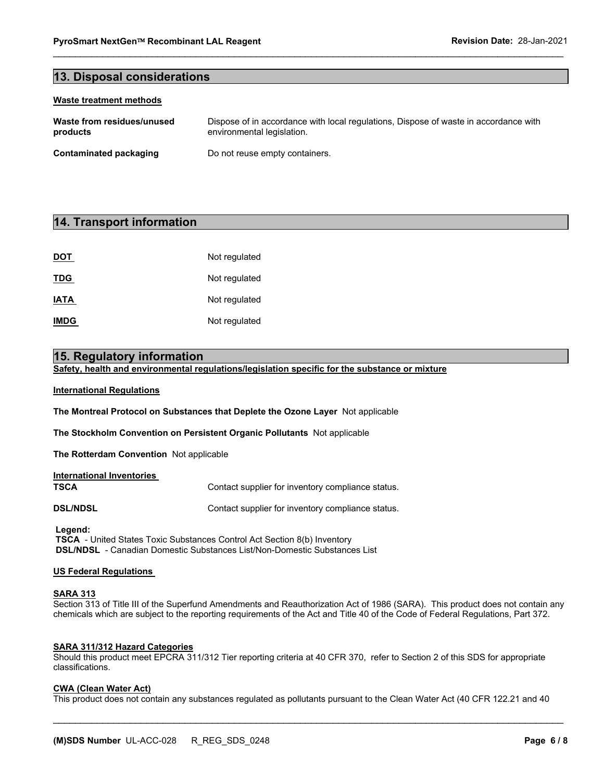### **13. Disposal considerations**

#### **Waste treatment methods**

| Waste from residues/unused | Dispose of in accordance with local regulations, Dispose of waste in accordance with |
|----------------------------|--------------------------------------------------------------------------------------|
| products                   | environmental legislation.                                                           |
| Contaminated packaging     | Do not reuse empty containers.                                                       |

 $\mathcal{L}_\mathcal{L} = \{ \mathcal{L}_\mathcal{L} = \{ \mathcal{L}_\mathcal{L} = \{ \mathcal{L}_\mathcal{L} = \{ \mathcal{L}_\mathcal{L} = \{ \mathcal{L}_\mathcal{L} = \{ \mathcal{L}_\mathcal{L} = \{ \mathcal{L}_\mathcal{L} = \{ \mathcal{L}_\mathcal{L} = \{ \mathcal{L}_\mathcal{L} = \{ \mathcal{L}_\mathcal{L} = \{ \mathcal{L}_\mathcal{L} = \{ \mathcal{L}_\mathcal{L} = \{ \mathcal{L}_\mathcal{L} = \{ \mathcal{L}_\mathcal{$ 

### **14. Transport information**

| <b>DOT</b>  | Not regulated |
|-------------|---------------|
| <b>TDG</b>  | Not regulated |
| <b>IATA</b> | Not regulated |
| <b>IMDG</b> | Not regulated |

### **15. Regulatory information**

**Safety, health and environmental regulations/legislation specific for the substance or mixture** 

#### **International Regulations**

**The Montreal Protocol on Substances that Deplete the Ozone Layer** Not applicable

**The Stockholm Convention on Persistent Organic Pollutants** Not applicable

**The Rotterdam Convention** Not applicable

### **International Inventories**

**TSCA Contact supplier for inventory compliance status.** 

**DSL/NDSL Contact supplier for inventory compliance status.** 

 **Legend:** 

 **TSCA** - United States Toxic Substances Control Act Section 8(b) Inventory  **DSL/NDSL** - Canadian Domestic Substances List/Non-Domestic Substances List

### **US Federal Regulations**

### **SARA 313**

Section 313 of Title III of the Superfund Amendments and Reauthorization Act of 1986 (SARA). This product does not contain any chemicals which are subject to the reporting requirements of the Act and Title 40 of the Code of Federal Regulations, Part 372.

### **SARA 311/312 Hazard Categories**

Should this product meet EPCRA 311/312 Tier reporting criteria at 40 CFR 370, refer to Section 2 of this SDS for appropriate classifications.

### **CWA (Clean Water Act)**

This product does not contain any substances regulated as pollutants pursuant to the Clean Water Act (40 CFR 122.21 and 40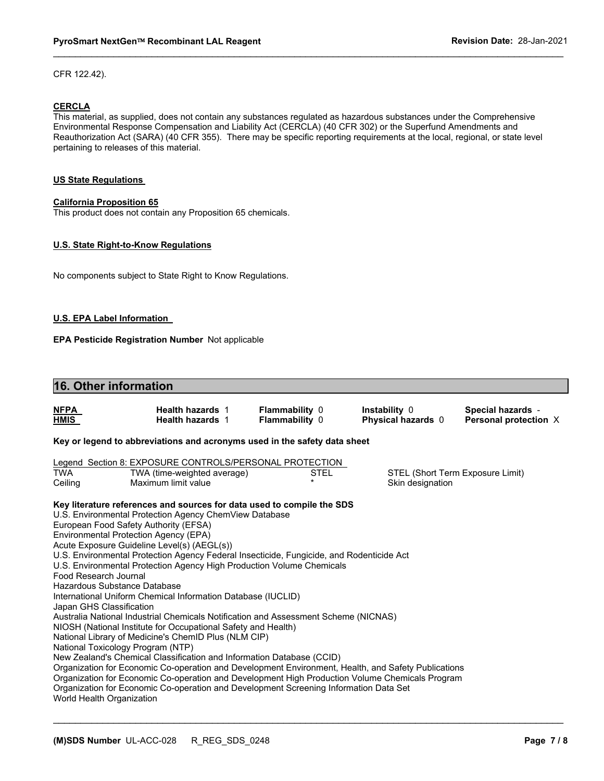CFR 122.42).

### **CERCLA**

This material, as supplied, does not contain any substances regulated as hazardous substances under the Comprehensive Environmental Response Compensation and Liability Act (CERCLA) (40 CFR 302) or the Superfund Amendments and Reauthorization Act (SARA) (40 CFR 355). There may be specific reporting requirements at the local, regional, or state level pertaining to releases of this material.

 $\mathcal{L}_\mathcal{L} = \{ \mathcal{L}_\mathcal{L} = \{ \mathcal{L}_\mathcal{L} = \{ \mathcal{L}_\mathcal{L} = \{ \mathcal{L}_\mathcal{L} = \{ \mathcal{L}_\mathcal{L} = \{ \mathcal{L}_\mathcal{L} = \{ \mathcal{L}_\mathcal{L} = \{ \mathcal{L}_\mathcal{L} = \{ \mathcal{L}_\mathcal{L} = \{ \mathcal{L}_\mathcal{L} = \{ \mathcal{L}_\mathcal{L} = \{ \mathcal{L}_\mathcal{L} = \{ \mathcal{L}_\mathcal{L} = \{ \mathcal{L}_\mathcal{$ 

### **US State Regulations**

### **California Proposition 65**

This product does not contain any Proposition 65 chemicals.

### **U.S. State Right-to-Know Regulations**

No components subject to State Right to Know Regulations.

#### **U.S. EPA Label Information**

**EPA Pesticide Registration Number** Not applicable

### **16. Other information**

| <u>NFPA</u><br><u>HMIS</u>                                   | <b>Health hazards 1</b><br><b>Health hazards 1</b>                                                  | <b>Flammability 0</b><br><b>Flammability 0</b> |      | Instability 0<br>Physical hazards 0 | Special hazards -<br>Personal protection X |
|--------------------------------------------------------------|-----------------------------------------------------------------------------------------------------|------------------------------------------------|------|-------------------------------------|--------------------------------------------|
|                                                              | Key or legend to abbreviations and acronyms used in the safety data sheet                           |                                                |      |                                     |                                            |
|                                                              | Legend Section 8: EXPOSURE CONTROLS/PERSONAL PROTECTION                                             |                                                |      |                                     |                                            |
| TWA                                                          | TWA (time-weighted average)                                                                         |                                                | STEL | STEL (Short Term Exposure Limit)    |                                            |
| Ceiling                                                      | Maximum limit value                                                                                 | $\star$                                        |      | Skin designation                    |                                            |
|                                                              | Key literature references and sources for data used to compile the SDS                              |                                                |      |                                     |                                            |
|                                                              | U.S. Environmental Protection Agency ChemView Database                                              |                                                |      |                                     |                                            |
| European Food Safety Authority (EFSA)                        |                                                                                                     |                                                |      |                                     |                                            |
| Environmental Protection Agency (EPA)                        |                                                                                                     |                                                |      |                                     |                                            |
|                                                              | Acute Exposure Guideline Level(s) (AEGL(s))                                                         |                                                |      |                                     |                                            |
|                                                              | U.S. Environmental Protection Agency Federal Insecticide, Fungicide, and Rodenticide Act            |                                                |      |                                     |                                            |
|                                                              | U.S. Environmental Protection Agency High Production Volume Chemicals                               |                                                |      |                                     |                                            |
| Food Research Journal                                        |                                                                                                     |                                                |      |                                     |                                            |
| Hazardous Substance Database                                 |                                                                                                     |                                                |      |                                     |                                            |
| International Uniform Chemical Information Database (IUCLID) |                                                                                                     |                                                |      |                                     |                                            |
| Japan GHS Classification                                     |                                                                                                     |                                                |      |                                     |                                            |
|                                                              | Australia National Industrial Chemicals Notification and Assessment Scheme (NICNAS)                 |                                                |      |                                     |                                            |
|                                                              | NIOSH (National Institute for Occupational Safety and Health)                                       |                                                |      |                                     |                                            |
| National Library of Medicine's ChemID Plus (NLM CIP)         |                                                                                                     |                                                |      |                                     |                                            |
| National Toxicology Program (NTP)                            |                                                                                                     |                                                |      |                                     |                                            |
|                                                              | New Zealand's Chemical Classification and Information Database (CCID)                               |                                                |      |                                     |                                            |
|                                                              | Organization for Economic Co-operation and Development Environment, Health, and Safety Publications |                                                |      |                                     |                                            |
|                                                              | Organization for Economic Co-operation and Development High Production Volume Chemicals Program     |                                                |      |                                     |                                            |
| World Health Organization                                    | Organization for Economic Co-operation and Development Screening Information Data Set               |                                                |      |                                     |                                            |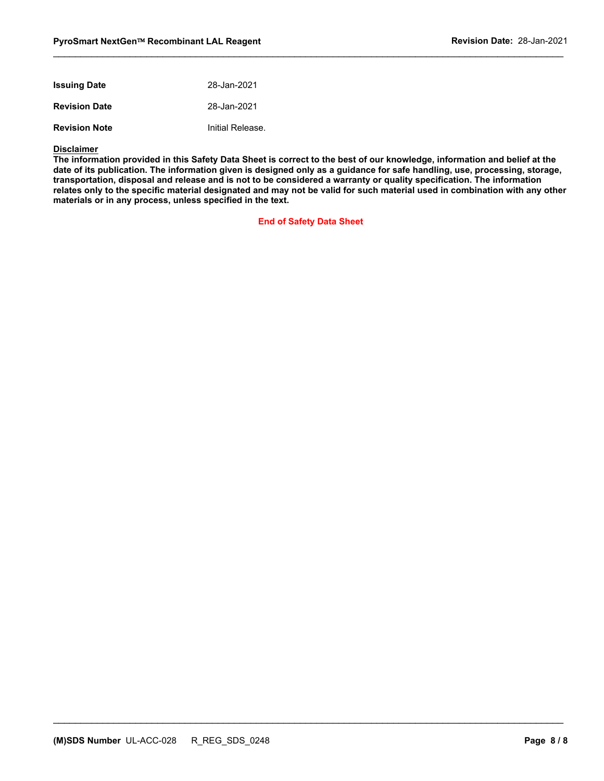| <b>Issuing Date</b>  | 28-Jan-2021      |
|----------------------|------------------|
| <b>Revision Date</b> | 28-Jan-2021      |
| <b>Revision Note</b> | Initial Release. |

#### **Disclaimer**

**The information provided in this Safety Data Sheet is correct to the best of our knowledge, information and belief at the date of its publication. The information given is designed only as a guidance for safe handling, use, processing, storage, transportation, disposal and release and is not to be considered a warranty or quality specification. The information relates only to the specific material designated and may not be valid for such material used in combination with any other materials or in any process, unless specified in the text.** 

 $\mathcal{L}_\mathcal{L} = \{ \mathcal{L}_\mathcal{L} = \{ \mathcal{L}_\mathcal{L} = \{ \mathcal{L}_\mathcal{L} = \{ \mathcal{L}_\mathcal{L} = \{ \mathcal{L}_\mathcal{L} = \{ \mathcal{L}_\mathcal{L} = \{ \mathcal{L}_\mathcal{L} = \{ \mathcal{L}_\mathcal{L} = \{ \mathcal{L}_\mathcal{L} = \{ \mathcal{L}_\mathcal{L} = \{ \mathcal{L}_\mathcal{L} = \{ \mathcal{L}_\mathcal{L} = \{ \mathcal{L}_\mathcal{L} = \{ \mathcal{L}_\mathcal{$ 

**End of Safety Data Sheet**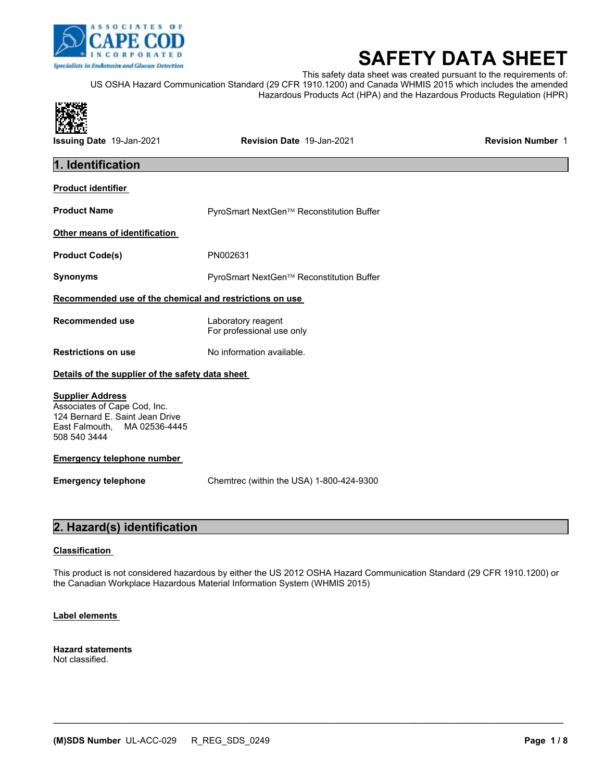

# **SAFETY DATA SHEET**

This safety data sheet was created pursuant to the requirements of: US OSHA Hazard Communication Standard (29 CFR 1910.1200) and Canada WHMIS 2015 which includes the amended Hazardous Products Act (HPA) and the Hazardous Products Regulation (HPR)



**Issuing Date** 19-Jan-2021 **Revision Date** 19-Jan-2021 **Revision Number** 1

### **1. Identification**

### **Product identifier**

**Product Name PyroSmart NextGen™ Reconstitution Buffer** 

|  | Other means of identification |  |
|--|-------------------------------|--|
|  |                               |  |

Product Code(s) PN002631

**Synonyms Exercise Exercise Exercise PyroSmart NextGen™ Reconstitution Buffer** 

### **Recommended use of the chemical and restrictions on use**

**Recommended use** Laboratory reagent For professional use only

**Restrictions on use**  No information available.

### **Details of the supplier of the safety data sheet**

### **Supplier Address**

Associates of Cape Cod, Inc. 124 Bernard E. Saint Jean Drive East Falmouth, MA 02536-4445 508 540 3444

### **Emergency telephone number**

**Emergency telephone** Chemtrec (within the USA) 1-800-424-9300

### **2. Hazard(s) identification**

### **Classification**

This product is not considered hazardous by either the US 2012 OSHA Hazard Communication Standard (29 CFR 1910.1200) or the Canadian Workplace Hazardous Material Information System (WHMIS 2015)

 $\mathcal{L}_\mathcal{L} = \mathcal{L}_\mathcal{L} = \mathcal{L}_\mathcal{L} = \mathcal{L}_\mathcal{L} = \mathcal{L}_\mathcal{L} = \mathcal{L}_\mathcal{L} = \mathcal{L}_\mathcal{L} = \mathcal{L}_\mathcal{L} = \mathcal{L}_\mathcal{L} = \mathcal{L}_\mathcal{L} = \mathcal{L}_\mathcal{L} = \mathcal{L}_\mathcal{L} = \mathcal{L}_\mathcal{L} = \mathcal{L}_\mathcal{L} = \mathcal{L}_\mathcal{L} = \mathcal{L}_\mathcal{L} = \mathcal{L}_\mathcal{L}$ 

### **Label elements**

**Hazard statements**  Not classified.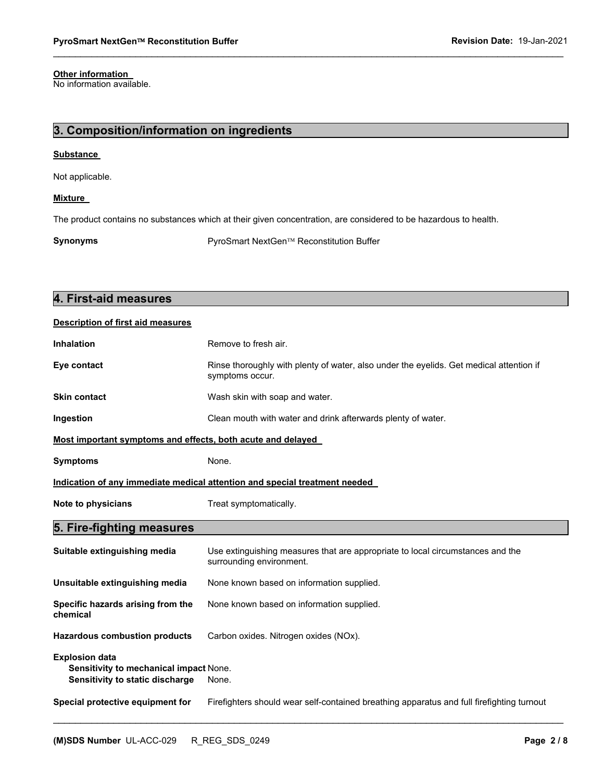### **Other information**

No information available.

### **3. Composition/information on ingredients**

### **Substance**

Not applicable.

### **Mixture**

The product contains no substances which at their given concentration, are considered to be hazardous to health.

**Synonyms Exercise Exercise PyroSmart NextGen**<sup>™</sup> Reconstitution Buffer

| 4. First-aid measures                                                                              |                                                                                                            |  |
|----------------------------------------------------------------------------------------------------|------------------------------------------------------------------------------------------------------------|--|
| <b>Description of first aid measures</b>                                                           |                                                                                                            |  |
| <b>Inhalation</b>                                                                                  | Remove to fresh air.                                                                                       |  |
| Eye contact                                                                                        | Rinse thoroughly with plenty of water, also under the eyelids. Get medical attention if<br>symptoms occur. |  |
| <b>Skin contact</b>                                                                                | Wash skin with soap and water.                                                                             |  |
| Ingestion                                                                                          | Clean mouth with water and drink afterwards plenty of water.                                               |  |
| Most important symptoms and effects, both acute and delayed                                        |                                                                                                            |  |
| <b>Symptoms</b>                                                                                    | None.                                                                                                      |  |
|                                                                                                    | Indication of any immediate medical attention and special treatment needed                                 |  |
| Note to physicians                                                                                 | Treat symptomatically.                                                                                     |  |
| 5. Fire-fighting measures                                                                          |                                                                                                            |  |
| Suitable extinguishing media                                                                       | Use extinguishing measures that are appropriate to local circumstances and the<br>surrounding environment. |  |
| Unsuitable extinguishing media                                                                     | None known based on information supplied.                                                                  |  |
| Specific hazards arising from the<br>chemical                                                      | None known based on information supplied.                                                                  |  |
| <b>Hazardous combustion products</b>                                                               | Carbon oxides. Nitrogen oxides (NOx).                                                                      |  |
|                                                                                                    |                                                                                                            |  |
| <b>Explosion data</b><br>Sensitivity to mechanical impact None.<br>Sensitivity to static discharge | None.                                                                                                      |  |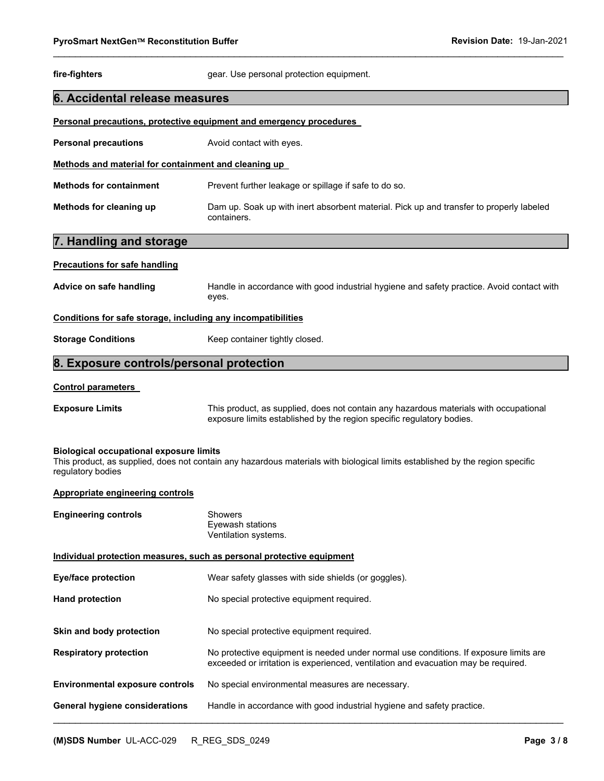## **PyroSmart NextGen**<sup>™</sup> Reconstitution Buffer **Revision Date: 19-Jan-2021**  $\mathcal{L}_\mathcal{L} = \{ \mathcal{L}_\mathcal{L} = \{ \mathcal{L}_\mathcal{L} = \{ \mathcal{L}_\mathcal{L} = \{ \mathcal{L}_\mathcal{L} = \{ \mathcal{L}_\mathcal{L} = \{ \mathcal{L}_\mathcal{L} = \{ \mathcal{L}_\mathcal{L} = \{ \mathcal{L}_\mathcal{L} = \{ \mathcal{L}_\mathcal{L} = \{ \mathcal{L}_\mathcal{L} = \{ \mathcal{L}_\mathcal{L} = \{ \mathcal{L}_\mathcal{L} = \{ \mathcal{L}_\mathcal{L} = \{ \mathcal{L}_\mathcal{$ **fire-fighters gear.** Use personal protection equipment. **6. Accidental release measures Personal precautions, protective equipment and emergency procedures Personal precautions Avoid contact with eyes. Methods and material for containment and cleaning up Methods for containment Prevent further leakage or spillage if safe to do so. Methods for cleaning up** Dam up. Soak up with inert absorbent material. Pick up and transfer to properly labeled containers. **7. Handling and storage Precautions for safe handling Advice on safe handling** Handle in accordance with good industrial hygiene and safety practice. Avoid contact with eyes. **Conditions for safe storage, including any incompatibilities Storage Conditions Keep container tightly closed. 8. Exposure controls/personal protection Control parameters Exposure Limits** This product, as supplied, does not contain any hazardous materials with occupational exposure limits established by the region specific regulatory bodies. **Biological occupational exposure limits**  This product, as supplied, does not contain any hazardous materials with biological limits established by the region specific regulatory bodies **Appropriate engineering controls Engineering controls Showers** Eyewash stations Ventilation systems. **Individual protection measures, such as personal protective equipment**

| Eye/face protection                    | Wear safety glasses with side shields (or goggles).                                                                                                                         |
|----------------------------------------|-----------------------------------------------------------------------------------------------------------------------------------------------------------------------------|
| <b>Hand protection</b>                 | No special protective equipment required.                                                                                                                                   |
| Skin and body protection               | No special protective equipment required.                                                                                                                                   |
| <b>Respiratory protection</b>          | No protective equipment is needed under normal use conditions. If exposure limits are<br>exceeded or irritation is experienced, ventilation and evacuation may be required. |
| <b>Environmental exposure controls</b> | No special environmental measures are necessary.                                                                                                                            |
| General hygiene considerations         | Handle in accordance with good industrial hygiene and safety practice.                                                                                                      |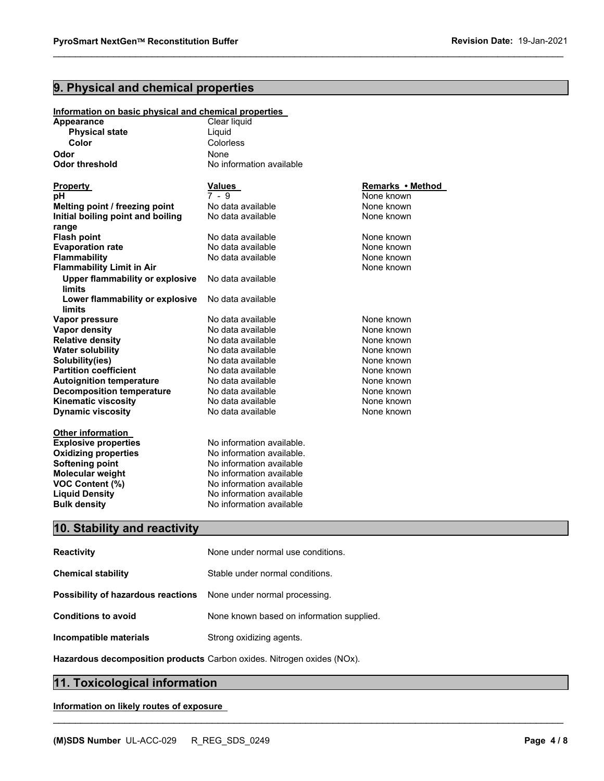### **9. Physical and chemical properties**

### **Information on basic physical and chemical properties**

| <b>Appearance</b>                                | Clear liquid              |                  |
|--------------------------------------------------|---------------------------|------------------|
| <b>Physical state</b>                            | Liquid                    |                  |
| Color                                            | Colorless                 |                  |
| Odor                                             | None                      |                  |
| <b>Odor threshold</b>                            | No information available  |                  |
| Property                                         | <b>Values</b>             | Remarks • Method |
| pH                                               | $7 - 9$                   | None known       |
| Melting point / freezing point                   | No data available         | None known       |
| Initial boiling point and boiling                | No data available         | None known       |
| range                                            |                           |                  |
| <b>Flash point</b>                               | No data available         | None known       |
| <b>Evaporation rate</b>                          | No data available         | None known       |
| Flammability                                     | No data available         | None known       |
| <b>Flammability Limit in Air</b>                 |                           | None known       |
| <b>Upper flammability or explosive</b><br>limits | No data available         |                  |
| Lower flammability or explosive<br><b>limits</b> | No data available         |                  |
| Vapor pressure                                   | No data available         | None known       |
| <b>Vapor density</b>                             | No data available         | None known       |
| <b>Relative density</b>                          | No data available         | None known       |
| <b>Water solubility</b>                          | No data available         | None known       |
| Solubility(ies)                                  | No data available         | None known       |
| <b>Partition coefficient</b>                     | No data available         | None known       |
| <b>Autoignition temperature</b>                  | No data available         | None known       |
| <b>Decomposition temperature</b>                 | No data available         | None known       |
| <b>Kinematic viscosity</b>                       | No data available         | None known       |
| <b>Dynamic viscosity</b>                         | No data available         | None known       |
| <b>Other information</b>                         |                           |                  |
| <b>Explosive properties</b>                      | No information available. |                  |
| <b>Oxidizing properties</b>                      | No information available. |                  |
| <b>Softening point</b>                           | No information available  |                  |
| <b>Molecular weight</b>                          | No information available  |                  |
| <b>VOC Content (%)</b>                           | No information available  |                  |
| <b>Liquid Density</b>                            | No information available  |                  |
| <b>Bulk density</b>                              | No information available  |                  |

 $\mathcal{L}_\mathcal{L} = \{ \mathcal{L}_\mathcal{L} = \{ \mathcal{L}_\mathcal{L} = \{ \mathcal{L}_\mathcal{L} = \{ \mathcal{L}_\mathcal{L} = \{ \mathcal{L}_\mathcal{L} = \{ \mathcal{L}_\mathcal{L} = \{ \mathcal{L}_\mathcal{L} = \{ \mathcal{L}_\mathcal{L} = \{ \mathcal{L}_\mathcal{L} = \{ \mathcal{L}_\mathcal{L} = \{ \mathcal{L}_\mathcal{L} = \{ \mathcal{L}_\mathcal{L} = \{ \mathcal{L}_\mathcal{L} = \{ \mathcal{L}_\mathcal{$ 

### **10. Stability and reactivity**

| None under normal use conditions.                                       |
|-------------------------------------------------------------------------|
| Stable under normal conditions.                                         |
| <b>Possibility of hazardous reactions</b> None under normal processing. |
| None known based on information supplied.                               |
| Strong oxidizing agents.                                                |
|                                                                         |

**Hazardous decomposition products** Carbon oxides. Nitrogen oxides (NOx).

 $\mathcal{L}_\mathcal{L} = \mathcal{L}_\mathcal{L} = \mathcal{L}_\mathcal{L} = \mathcal{L}_\mathcal{L} = \mathcal{L}_\mathcal{L} = \mathcal{L}_\mathcal{L} = \mathcal{L}_\mathcal{L} = \mathcal{L}_\mathcal{L} = \mathcal{L}_\mathcal{L} = \mathcal{L}_\mathcal{L} = \mathcal{L}_\mathcal{L} = \mathcal{L}_\mathcal{L} = \mathcal{L}_\mathcal{L} = \mathcal{L}_\mathcal{L} = \mathcal{L}_\mathcal{L} = \mathcal{L}_\mathcal{L} = \mathcal{L}_\mathcal{L}$ 

### **11. Toxicological information**

### **Information on likely routes of exposure**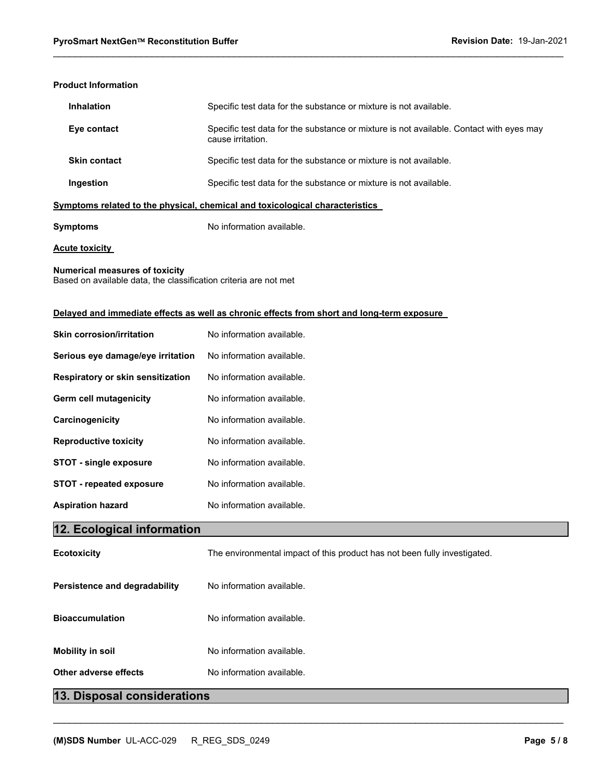### **Product Information**

| <b>Inhalation</b>                                                            | Specific test data for the substance or mixture is not available.                                            |  |  |
|------------------------------------------------------------------------------|--------------------------------------------------------------------------------------------------------------|--|--|
| Eye contact                                                                  | Specific test data for the substance or mixture is not available. Contact with eyes may<br>cause irritation. |  |  |
| <b>Skin contact</b>                                                          | Specific test data for the substance or mixture is not available.                                            |  |  |
| Ingestion                                                                    | Specific test data for the substance or mixture is not available.                                            |  |  |
| Symptoms related to the physical, chemical and toxicological characteristics |                                                                                                              |  |  |

 $\mathcal{L}_\mathcal{L} = \{ \mathcal{L}_\mathcal{L} = \{ \mathcal{L}_\mathcal{L} = \{ \mathcal{L}_\mathcal{L} = \{ \mathcal{L}_\mathcal{L} = \{ \mathcal{L}_\mathcal{L} = \{ \mathcal{L}_\mathcal{L} = \{ \mathcal{L}_\mathcal{L} = \{ \mathcal{L}_\mathcal{L} = \{ \mathcal{L}_\mathcal{L} = \{ \mathcal{L}_\mathcal{L} = \{ \mathcal{L}_\mathcal{L} = \{ \mathcal{L}_\mathcal{L} = \{ \mathcal{L}_\mathcal{L} = \{ \mathcal{L}_\mathcal{$ 

### **Symptoms No information available.**

**Acute toxicity** 

### **Numerical measures of toxicity**

Based on available data, the classification criteria are not met

### **Delayed and immediate effects as well as chronic effects from short and long-term exposure**

| <b>Skin corrosion/irritation</b>  | No information available.                                                 |  |
|-----------------------------------|---------------------------------------------------------------------------|--|
| Serious eye damage/eye irritation | No information available.                                                 |  |
| Respiratory or skin sensitization | No information available.                                                 |  |
| Germ cell mutagenicity            | No information available.                                                 |  |
| Carcinogenicity                   | No information available.                                                 |  |
| <b>Reproductive toxicity</b>      | No information available.                                                 |  |
| <b>STOT - single exposure</b>     | No information available.                                                 |  |
| STOT - repeated exposure          | No information available.                                                 |  |
| <b>Aspiration hazard</b>          | No information available.                                                 |  |
|                                   |                                                                           |  |
| 12. Ecological information        |                                                                           |  |
| <b>Ecotoxicity</b>                | The environmental impact of this product has not been fully investigated. |  |
| Persistence and degradability     | No information available.                                                 |  |
| <b>Bioaccumulation</b>            | No information available.                                                 |  |
| <b>Mobility in soil</b>           | No information available.                                                 |  |

 $\mathcal{L}_\mathcal{L} = \mathcal{L}_\mathcal{L} = \mathcal{L}_\mathcal{L} = \mathcal{L}_\mathcal{L} = \mathcal{L}_\mathcal{L} = \mathcal{L}_\mathcal{L} = \mathcal{L}_\mathcal{L} = \mathcal{L}_\mathcal{L} = \mathcal{L}_\mathcal{L} = \mathcal{L}_\mathcal{L} = \mathcal{L}_\mathcal{L} = \mathcal{L}_\mathcal{L} = \mathcal{L}_\mathcal{L} = \mathcal{L}_\mathcal{L} = \mathcal{L}_\mathcal{L} = \mathcal{L}_\mathcal{L} = \mathcal{L}_\mathcal{L}$ 

### **13. Disposal considerations**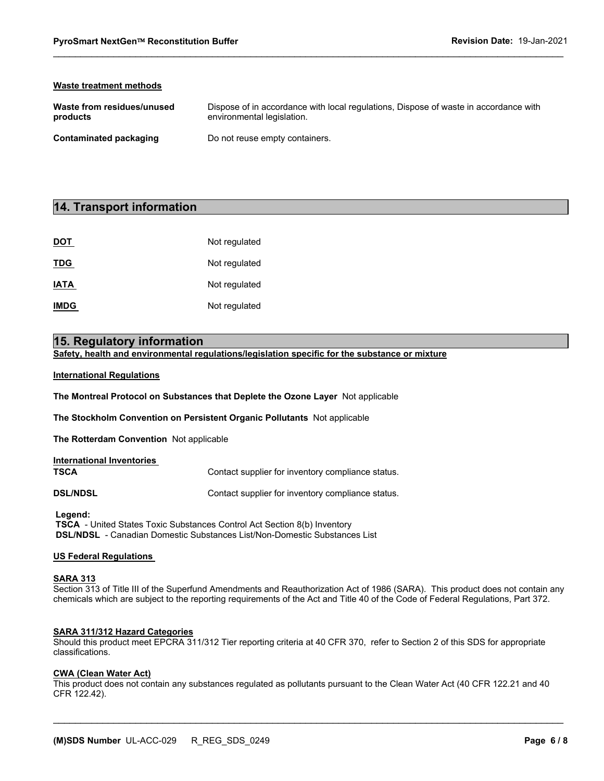### **Waste treatment methods**

| Waste from residues/unused | Dispose of in accordance with local regulations, Dispose of waste in accordance with |
|----------------------------|--------------------------------------------------------------------------------------|
| products                   | environmental legislation.                                                           |
| Contaminated packaging     | Do not reuse empty containers.                                                       |

 $\mathcal{L}_\mathcal{L} = \{ \mathcal{L}_\mathcal{L} = \{ \mathcal{L}_\mathcal{L} = \{ \mathcal{L}_\mathcal{L} = \{ \mathcal{L}_\mathcal{L} = \{ \mathcal{L}_\mathcal{L} = \{ \mathcal{L}_\mathcal{L} = \{ \mathcal{L}_\mathcal{L} = \{ \mathcal{L}_\mathcal{L} = \{ \mathcal{L}_\mathcal{L} = \{ \mathcal{L}_\mathcal{L} = \{ \mathcal{L}_\mathcal{L} = \{ \mathcal{L}_\mathcal{L} = \{ \mathcal{L}_\mathcal{L} = \{ \mathcal{L}_\mathcal{$ 

### **14. Transport information**

| <b>DOT</b>  | Not regulated |
|-------------|---------------|
| <b>TDG</b>  | Not regulated |
| <b>IATA</b> | Not regulated |
| <b>IMDG</b> | Not regulated |

### **15. Regulatory information**

**Safety, health and environmental regulations/legislation specific for the substance or mixture** 

### **International Regulations**

**The Montreal Protocol on Substances that Deplete the Ozone Layer** Not applicable

**The Stockholm Convention on Persistent Organic Pollutants** Not applicable

**The Rotterdam Convention** Not applicable

| <b>International Inventories</b><br>TSCA | Contact supplier for inventory compliance status. |
|------------------------------------------|---------------------------------------------------|
| <b>DSL/NDSL</b>                          | Contact supplier for inventory compliance status. |

 **Legend: TSCA** - United States Toxic Substances Control Act Section 8(b) Inventory  **DSL/NDSL** - Canadian Domestic Substances List/Non-Domestic Substances List

### **US Federal Regulations**

#### **SARA 313**

Section 313 of Title III of the Superfund Amendments and Reauthorization Act of 1986 (SARA). This product does not contain any chemicals which are subject to the reporting requirements of the Act and Title 40 of the Code of Federal Regulations, Part 372.

### **SARA 311/312 Hazard Categories**

Should this product meet EPCRA 311/312 Tier reporting criteria at 40 CFR 370, refer to Section 2 of this SDS for appropriate classifications.

#### **CWA (Clean Water Act)**

This product does not contain any substances regulated as pollutants pursuant to the Clean Water Act (40 CFR 122.21 and 40 CFR 122.42).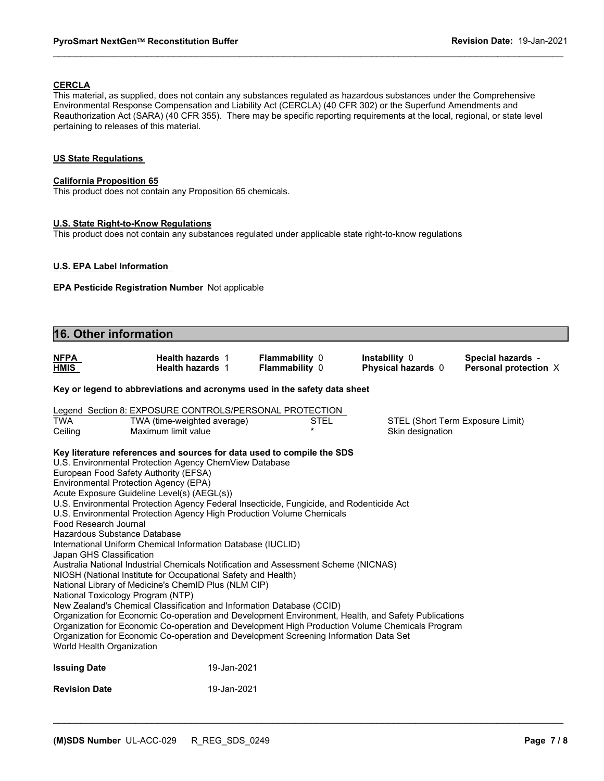### **CERCLA**

This material, as supplied, does not contain any substances regulated as hazardous substances under the Comprehensive Environmental Response Compensation and Liability Act (CERCLA) (40 CFR 302) or the Superfund Amendments and Reauthorization Act (SARA) (40 CFR 355). There may be specific reporting requirements at the local, regional, or state level pertaining to releases of this material.

 $\mathcal{L}_\mathcal{L} = \{ \mathcal{L}_\mathcal{L} = \{ \mathcal{L}_\mathcal{L} = \{ \mathcal{L}_\mathcal{L} = \{ \mathcal{L}_\mathcal{L} = \{ \mathcal{L}_\mathcal{L} = \{ \mathcal{L}_\mathcal{L} = \{ \mathcal{L}_\mathcal{L} = \{ \mathcal{L}_\mathcal{L} = \{ \mathcal{L}_\mathcal{L} = \{ \mathcal{L}_\mathcal{L} = \{ \mathcal{L}_\mathcal{L} = \{ \mathcal{L}_\mathcal{L} = \{ \mathcal{L}_\mathcal{L} = \{ \mathcal{L}_\mathcal{$ 

### **US State Regulations**

### **California Proposition 65**

This product does not contain any Proposition 65 chemicals.

### **U.S. State Right-to-Know Regulations**

This product does not contain any substances regulated under applicable state right-to-know regulations

### **U.S. EPA Label Information**

**EPA Pesticide Registration Number** Not applicable

| 16. Other information                                                                                                                                                                                                                                                                                                                                                                                                                                                                                                                                                                                                                                                                                                                                                                                                                                                                                                                                                                                                                                                                                                                                                                                                                                     |                                                                                                               |                                  |                                                      |                                            |
|-----------------------------------------------------------------------------------------------------------------------------------------------------------------------------------------------------------------------------------------------------------------------------------------------------------------------------------------------------------------------------------------------------------------------------------------------------------------------------------------------------------------------------------------------------------------------------------------------------------------------------------------------------------------------------------------------------------------------------------------------------------------------------------------------------------------------------------------------------------------------------------------------------------------------------------------------------------------------------------------------------------------------------------------------------------------------------------------------------------------------------------------------------------------------------------------------------------------------------------------------------------|---------------------------------------------------------------------------------------------------------------|----------------------------------|------------------------------------------------------|--------------------------------------------|
| <b>NFPA</b><br><b>HMIS</b>                                                                                                                                                                                                                                                                                                                                                                                                                                                                                                                                                                                                                                                                                                                                                                                                                                                                                                                                                                                                                                                                                                                                                                                                                                | Health hazards 1<br><b>Health hazards 1</b>                                                                   | Flammability 0<br>Flammability 0 | Instability 0<br>Physical hazards 0                  | Special hazards -<br>Personal protection X |
| Key or legend to abbreviations and acronyms used in the safety data sheet                                                                                                                                                                                                                                                                                                                                                                                                                                                                                                                                                                                                                                                                                                                                                                                                                                                                                                                                                                                                                                                                                                                                                                                 |                                                                                                               |                                  |                                                      |                                            |
| <b>TWA</b><br>Ceiling                                                                                                                                                                                                                                                                                                                                                                                                                                                                                                                                                                                                                                                                                                                                                                                                                                                                                                                                                                                                                                                                                                                                                                                                                                     | Legend Section 8: EXPOSURE CONTROLS/PERSONAL PROTECTION<br>TWA (time-weighted average)<br>Maximum limit value | <b>STEL</b><br>$\star$           | STEL (Short Term Exposure Limit)<br>Skin designation |                                            |
| Key literature references and sources for data used to compile the SDS<br>U.S. Environmental Protection Agency ChemView Database<br>European Food Safety Authority (EFSA)<br>Environmental Protection Agency (EPA)<br>Acute Exposure Guideline Level(s) (AEGL(s))<br>U.S. Environmental Protection Agency Federal Insecticide, Fungicide, and Rodenticide Act<br>U.S. Environmental Protection Agency High Production Volume Chemicals<br>Food Research Journal<br>Hazardous Substance Database<br>International Uniform Chemical Information Database (IUCLID)<br>Japan GHS Classification<br>Australia National Industrial Chemicals Notification and Assessment Scheme (NICNAS)<br>NIOSH (National Institute for Occupational Safety and Health)<br>National Library of Medicine's ChemID Plus (NLM CIP)<br>National Toxicology Program (NTP)<br>New Zealand's Chemical Classification and Information Database (CCID)<br>Organization for Economic Co-operation and Development Environment, Health, and Safety Publications<br>Organization for Economic Co-operation and Development High Production Volume Chemicals Program<br>Organization for Economic Co-operation and Development Screening Information Data Set<br>World Health Organization |                                                                                                               |                                  |                                                      |                                            |
| <b>Issuing Date</b>                                                                                                                                                                                                                                                                                                                                                                                                                                                                                                                                                                                                                                                                                                                                                                                                                                                                                                                                                                                                                                                                                                                                                                                                                                       | 19-Jan-2021                                                                                                   |                                  |                                                      |                                            |
| <b>Revision Date</b>                                                                                                                                                                                                                                                                                                                                                                                                                                                                                                                                                                                                                                                                                                                                                                                                                                                                                                                                                                                                                                                                                                                                                                                                                                      | 19-Jan-2021                                                                                                   |                                  |                                                      |                                            |